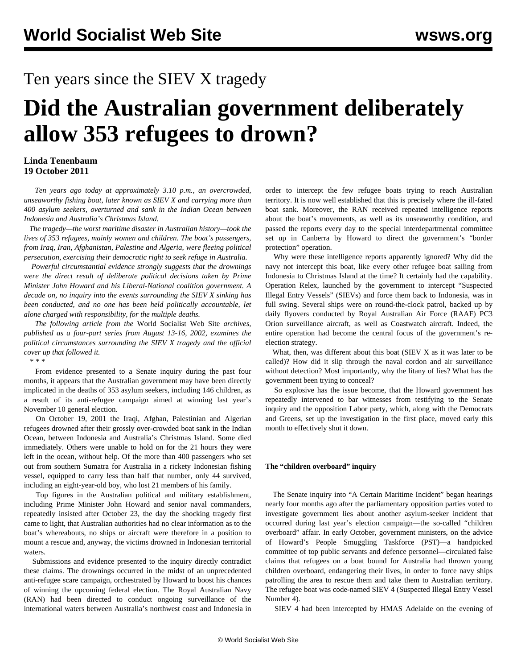## Ten years since the SIEV X tragedy

# **Did the Australian government deliberately allow 353 refugees to drown?**

#### **Linda Tenenbaum 19 October 2011**

 *Ten years ago today at approximately 3.10 p.m., an overcrowded, unseaworthy fishing boat, later known as SIEV X and carrying more than 400 asylum seekers, overturned and sank in the Indian Ocean between Indonesia and Australia's Christmas Island.*

 *The tragedy—the worst maritime disaster in Australian history—took the lives of 353 refugees, mainly women and children. The boat's passengers, from Iraq, Iran, Afghanistan, Palestine and Algeria, were fleeing political persecution, exercising their democratic right to seek refuge in Australia.*

 *Powerful circumstantial evidence strongly suggests that the drownings were the direct result of deliberate political decisions taken by Prime Minister John Howard and his Liberal-National coalition government. A decade on, no inquiry into the events surrounding the SIEV X sinking has been conducted, and no one has been held politically accountable, let alone charged with responsibility, for the multiple deaths.*

 *The following article from the* World Socialist Web Site *archives, published as a four-part series from August 13-16, 2002, examines the political circumstances surrounding the SIEV X tragedy and the official cover up that followed it.*

*\* \* \**

 From evidence presented to a Senate inquiry during the past four months, it appears that the Australian government may have been directly implicated in the deaths of 353 asylum seekers, including 146 children, as a result of its anti-refugee campaign aimed at winning last year's November 10 general election.

 On October 19, 2001 the Iraqi, Afghan, Palestinian and Algerian refugees drowned after their grossly over-crowded boat sank in the Indian Ocean, between Indonesia and Australia's Christmas Island. Some died immediately. Others were unable to hold on for the 21 hours they were left in the ocean, without help. Of the more than 400 passengers who set out from southern Sumatra for Australia in a rickety Indonesian fishing vessel, equipped to carry less than half that number, only 44 survived, including an eight-year-old boy, who lost 21 members of his family.

 Top figures in the Australian political and military establishment, including Prime Minister John Howard and senior naval commanders, repeatedly insisted after October 23, the day the shocking tragedy first came to light, that Australian authorities had no clear information as to the boat's whereabouts, no ships or aircraft were therefore in a position to mount a rescue and, anyway, the victims drowned in Indonesian territorial waters.

 Submissions and evidence presented to the inquiry directly contradict these claims. The drownings occurred in the midst of an unprecedented anti-refugee scare campaign, orchestrated by Howard to boost his chances of winning the upcoming federal election. The Royal Australian Navy (RAN) had been directed to conduct ongoing surveillance of the international waters between Australia's northwest coast and Indonesia in

order to intercept the few refugee boats trying to reach Australian territory. It is now well established that this is precisely where the ill-fated boat sank. Moreover, the RAN received repeated intelligence reports about the boat's movements, as well as its unseaworthy condition, and passed the reports every day to the special interdepartmental committee set up in Canberra by Howard to direct the government's "border protection" operation.

 Why were these intelligence reports apparently ignored? Why did the navy not intercept this boat, like every other refugee boat sailing from Indonesia to Christmas Island at the time? It certainly had the capability. Operation Relex, launched by the government to intercept "Suspected Illegal Entry Vessels" (SIEVs) and force them back to Indonesia, was in full swing. Several ships were on round-the-clock patrol, backed up by daily flyovers conducted by Royal Australian Air Force (RAAF) PC3 Orion surveillance aircraft, as well as Coastwatch aircraft. Indeed, the entire operation had become the central focus of the government's reelection strategy.

 What, then, was different about this boat (SIEV X as it was later to be called)? How did it slip through the naval cordon and air surveillance without detection? Most importantly, why the litany of lies? What has the government been trying to conceal?

 So explosive has the issue become, that the Howard government has repeatedly intervened to bar witnesses from testifying to the Senate inquiry and the opposition Labor party, which, along with the Democrats and Greens, set up the investigation in the first place, moved early this month to effectively shut it down.

#### **The "children overboard" inquiry**

 The Senate inquiry into "A Certain Maritime Incident" began hearings nearly four months ago after the parliamentary opposition parties voted to investigate government lies about another asylum-seeker incident that occurred during last year's election campaign—the so-called "children overboard" affair. In early October, government ministers, on the advice of Howard's People Smuggling Taskforce (PST)—a handpicked committee of top public servants and defence personnel—circulated false claims that refugees on a boat bound for Australia had thrown young children overboard, endangering their lives, in order to force navy ships patrolling the area to rescue them and take them to Australian territory. The refugee boat was code-named SIEV 4 (Suspected Illegal Entry Vessel Number 4).

SIEV 4 had been intercepted by HMAS Adelaide on the evening of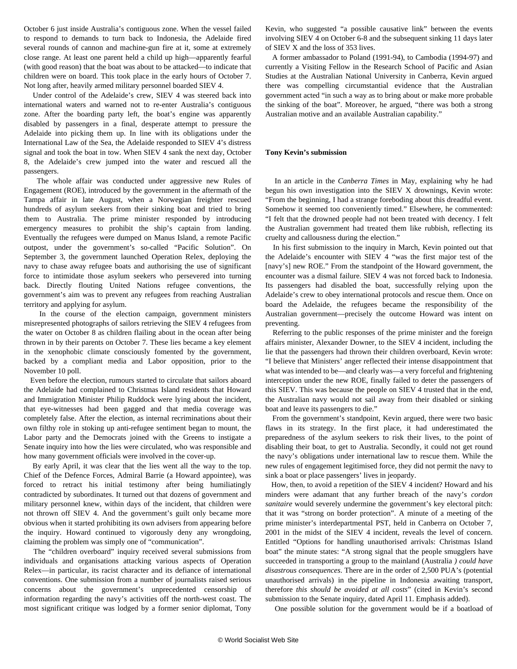October 6 just inside Australia's contiguous zone. When the vessel failed to respond to demands to turn back to Indonesia, the Adelaide fired several rounds of cannon and machine-gun fire at it, some at extremely close range. At least one parent held a child up high—apparently fearful (with good reason) that the boat was about to be attacked—to indicate that children were on board. This took place in the early hours of October 7. Not long after, heavily armed military personnel boarded SIEV 4.

 Under control of the Adelaide's crew, SIEV 4 was steered back into international waters and warned not to re-enter Australia's contiguous zone. After the boarding party left, the boat's engine was apparently disabled by passengers in a final, desperate attempt to pressure the Adelaide into picking them up. In line with its obligations under the International Law of the Sea, the Adelaide responded to SIEV 4's distress signal and took the boat in tow. When SIEV 4 sank the next day, October 8, the Adelaide's crew jumped into the water and rescued all the passengers.

 The whole affair was conducted under aggressive new Rules of Engagement (ROE), introduced by the government in the aftermath of the Tampa affair in late August, when a Norwegian freighter rescued hundreds of asylum seekers from their sinking boat and tried to bring them to Australia. The prime minister responded by introducing emergency measures to prohibit the ship's captain from landing. Eventually the refugees were dumped on Manus Island, a remote Pacific outpost, under the government's so-called "Pacific Solution". On September 3, the government launched Operation Relex, deploying the navy to chase away refugee boats and authorising the use of significant force to intimidate those asylum seekers who persevered into turning back. Directly flouting United Nations refugee conventions, the government's aim was to prevent any refugees from reaching Australian territory and applying for asylum.

 In the course of the election campaign, government ministers misrepresented photographs of sailors retrieving the SIEV 4 refugees from the water on October 8 as children flailing about in the ocean after being thrown in by their parents on October 7. These lies became a key element in the xenophobic climate consciously fomented by the government, backed by a compliant media and Labor opposition, prior to the November 10 poll.

 Even before the election, rumours started to circulate that sailors aboard the Adelaide had complained to Christmas Island residents that Howard and Immigration Minister Philip Ruddock were lying about the incident, that eye-witnesses had been gagged and that media coverage was completely false. After the election, as internal recriminations about their own filthy role in stoking up anti-refugee sentiment began to mount, the Labor party and the Democrats joined with the Greens to instigate a Senate inquiry into how the lies were circulated, who was responsible and how many government officials were involved in the cover-up.

 By early April, it was clear that the lies went all the way to the top. Chief of the Defence Forces, Admiral Barrie (a Howard appointee), was forced to retract his initial testimony after being humiliatingly contradicted by subordinates. It turned out that dozens of government and military personnel knew, within days of the incident, that children were not thrown off SIEV 4. And the government's guilt only became more obvious when it started prohibiting its own advisers from appearing before the inquiry. Howard continued to vigorously deny any wrongdoing, claiming the problem was simply one of "communication".

 The "children overboard" inquiry received several submissions from individuals and organisations attacking various aspects of Operation Relex—in particular, its racist character and its defiance of international conventions. One submission from a number of journalists raised serious concerns about the government's unprecedented censorship of information regarding the navy's activities off the north-west coast. The most significant critique was lodged by a former senior diplomat, Tony Kevin, who suggested "a possible causative link" between the events involving SIEV 4 on October 6-8 and the subsequent sinking 11 days later of SIEV X and the loss of 353 lives.

 A former ambassador to Poland (1991-94), to Cambodia (1994-97) and currently a Visiting Fellow in the Research School of Pacific and Asian Studies at the Australian National University in Canberra, Kevin argued there was compelling circumstantial evidence that the Australian government acted "in such a way as to bring about or make more probable the sinking of the boat". Moreover, he argued, "there was both a strong Australian motive and an available Australian capability."

#### **Tony Kevin's submission**

 In an article in the *Canberra Times* in May, explaining why he had begun his own investigation into the SIEV X drownings, Kevin wrote: "From the beginning, I had a strange foreboding about this dreadful event. Somehow it seemed too conveniently timed." Elsewhere, he commented: "I felt that the drowned people had not been treated with decency. I felt the Australian government had treated them like rubbish, reflecting its cruelty and callousness during the election."

 In his first submission to the inquiry in March, Kevin pointed out that the Adelaide's encounter with SIEV 4 "was the first major test of the [navy's] new ROE." From the standpoint of the Howard government, the encounter was a dismal failure. SIEV 4 was not forced back to Indonesia. Its passengers had disabled the boat, successfully relying upon the Adelaide's crew to obey international protocols and rescue them. Once on board the Adelaide, the refugees became the responsibility of the Australian government—precisely the outcome Howard was intent on preventing.

 Referring to the public responses of the prime minister and the foreign affairs minister, Alexander Downer, to the SIEV 4 incident, including the lie that the passengers had thrown their children overboard, Kevin wrote: "I believe that Ministers' anger reflected their intense disappointment that what was intended to be—and clearly was—a very forceful and frightening interception under the new ROE, finally failed to deter the passengers of this SIEV. This was because the people on SIEV 4 trusted that in the end, the Australian navy would not sail away from their disabled or sinking boat and leave its passengers to die."

 From the government's standpoint, Kevin argued, there were two basic flaws in its strategy. In the first place, it had underestimated the preparedness of the asylum seekers to risk their lives, to the point of disabling their boat, to get to Australia. Secondly, it could not get round the navy's obligations under international law to rescue them. While the new rules of engagement legitimised force, they did not permit the navy to sink a boat or place passengers' lives in jeopardy.

 How, then, to avoid a repetition of the SIEV 4 incident? Howard and his minders were adamant that any further breach of the navy's *cordon sanitaire* would severely undermine the government's key electoral pitch: that it was "strong on border protection". A minute of a meeting of the prime minister's interdepartmental PST, held in Canberra on October 7, 2001 in the midst of the SIEV 4 incident, reveals the level of concern. Entitled "Options for handling unauthorised arrivals: Christmas Island boat" the minute states: "A strong signal that the people smugglers have succeeded in transporting a group to the mainland (Australia *) could have disastrous consequences*. There are in the order of 2,500 PUA's (potential unauthorised arrivals) in the pipeline in Indonesia awaiting transport, therefore *this should be avoided at all costs*" (cited in Kevin's second submission to the Senate inquiry, dated April 11. Emphasis added).

One possible solution for the government would be if a boatload of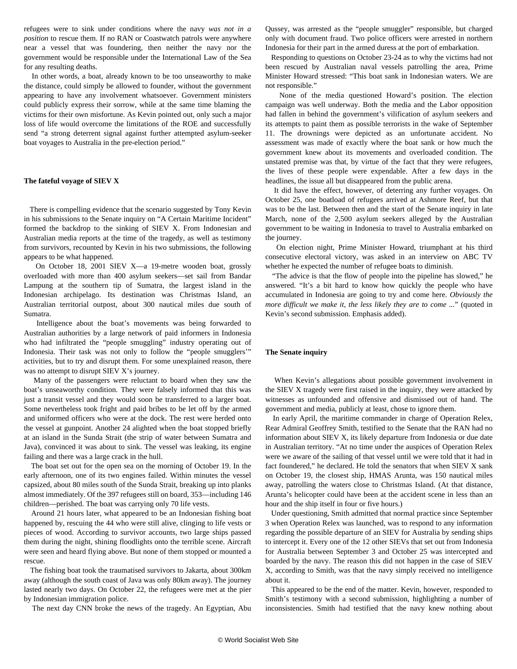refugees were to sink under conditions where the navy *was not in a position* to rescue them. If no RAN or Coastwatch patrols were anywhere near a vessel that was foundering, then neither the navy nor the government would be responsible under the International Law of the Sea for any resulting deaths.

 In other words, a boat, already known to be too unseaworthy to make the distance, could simply be allowed to founder, without the government appearing to have any involvement whatsoever. Government ministers could publicly express their sorrow, while at the same time blaming the victims for their own misfortune. As Kevin pointed out, only such a major loss of life would overcome the limitations of the ROE and successfully send "a strong deterrent signal against further attempted asylum-seeker boat voyages to Australia in the pre-election period."

#### **The fateful voyage of SIEV X**

 There is compelling evidence that the scenario suggested by Tony Kevin in his submissions to the Senate inquiry on "A Certain Maritime Incident" formed the backdrop to the sinking of SIEV X. From Indonesian and Australian media reports at the time of the tragedy, as well as testimony from survivors, recounted by Kevin in his two submissions, the following appears to be what happened.

 On October 18, 2001 SIEV X—a 19-metre wooden boat, grossly overloaded with more than 400 asylum seekers—set sail from Bandar Lampung at the southern tip of Sumatra, the largest island in the Indonesian archipelago. Its destination was Christmas Island, an Australian territorial outpost, about 300 nautical miles due south of Sumatra.

 Intelligence about the boat's movements was being forwarded to Australian authorities by a large network of paid informers in Indonesia who had infiltrated the "people smuggling" industry operating out of Indonesia. Their task was not only to follow the "people smugglers'" activities, but to try and disrupt them. For some unexplained reason, there was no attempt to disrupt SIEV X's journey.

 Many of the passengers were reluctant to board when they saw the boat's unseaworthy condition. They were falsely informed that this was just a transit vessel and they would soon be transferred to a larger boat. Some nevertheless took fright and paid bribes to be let off by the armed and uniformed officers who were at the dock. The rest were herded onto the vessel at gunpoint. Another 24 alighted when the boat stopped briefly at an island in the Sunda Strait (the strip of water between Sumatra and Java), convinced it was about to sink. The vessel was leaking, its engine failing and there was a large crack in the hull.

 The boat set out for the open sea on the morning of October 19. In the early afternoon, one of its two engines failed. Within minutes the vessel capsized, about 80 miles south of the Sunda Strait, breaking up into planks almost immediately. Of the 397 refugees still on board, 353—including 146 children—perished. The boat was carrying only 70 life vests.

 Around 21 hours later, what appeared to be an Indonesian fishing boat happened by, rescuing the 44 who were still alive, clinging to life vests or pieces of wood. According to survivor accounts, two large ships passed them during the night, shining floodlights onto the terrible scene. Aircraft were seen and heard flying above. But none of them stopped or mounted a rescue.

 The fishing boat took the traumatised survivors to Jakarta, about 300km away (although the south coast of Java was only 80km away). The journey lasted nearly two days. On October 22, the refugees were met at the pier by Indonesian immigration police.

The next day CNN broke the news of the tragedy. An Egyptian, Abu

Qussey, was arrested as the "people smuggler" responsible, but charged only with document fraud. Two police officers were arrested in northern Indonesia for their part in the armed duress at the port of embarkation.

 Responding to questions on October 23-24 as to why the victims had not been rescued by Australian naval vessels patrolling the area, Prime Minister Howard stressed: "This boat sank in Indonesian waters. We are not responsible."

 None of the media questioned Howard's position. The election campaign was well underway. Both the media and the Labor opposition had fallen in behind the government's vilification of asylum seekers and its attempts to paint them as possible terrorists in the wake of September 11. The drownings were depicted as an unfortunate accident. No assessment was made of exactly where the boat sank or how much the government knew about its movements and overloaded condition. The unstated premise was that, by virtue of the fact that they were refugees, the lives of these people were expendable. After a few days in the headlines, the issue all but disappeared from the public arena.

 It did have the effect, however, of deterring any further voyages. On October 25, one boatload of refugees arrived at Ashmore Reef, but that was to be the last. Between then and the start of the Senate inquiry in late March, none of the 2,500 asylum seekers alleged by the Australian government to be waiting in Indonesia to travel to Australia embarked on the journey.

 On election night, Prime Minister Howard, triumphant at his third consecutive electoral victory, was asked in an interview on ABC TV whether he expected the number of refugee boats to diminish.

 "The advice is that the flow of people into the pipeline has slowed," he answered. "It's a bit hard to know how quickly the people who have accumulated in Indonesia are going to try and come here. *Obviously the more difficult we make it, the less likely they are to come ...*" (quoted in Kevin's second submission. Emphasis added).

#### **The Senate inquiry**

 When Kevin's allegations about possible government involvement in the SIEV X tragedy were first raised in the inquiry, they were attacked by witnesses as unfounded and offensive and dismissed out of hand. The government and media, publicly at least, chose to ignore them.

 In early April, the maritime commander in charge of Operation Relex, Rear Admiral Geoffrey Smith, testified to the Senate that the RAN had no information about SIEV X, its likely departure from Indonesia or due date in Australian territory. "At no time under the auspices of Operation Relex were we aware of the sailing of that vessel until we were told that it had in fact foundered," he declared. He told the senators that when SIEV X sank on October 19, the closest ship, HMAS Arunta, was 150 nautical miles away, patrolling the waters close to Christmas Island. (At that distance, Arunta's helicopter could have been at the accident scene in less than an hour and the ship itself in four or five hours.)

 Under questioning, Smith admitted that normal practice since September 3 when Operation Relex was launched, was to respond to any information regarding the possible departure of an SIEV for Australia by sending ships to intercept it. Every one of the 12 other SIEVs that set out from Indonesia for Australia between September 3 and October 25 was intercepted and boarded by the navy. The reason this did not happen in the case of SIEV X, according to Smith, was that the navy simply received no intelligence about it.

 This appeared to be the end of the matter. Kevin, however, responded to Smith's testimony with a second submission, highlighting a number of inconsistencies. Smith had testified that the navy knew nothing about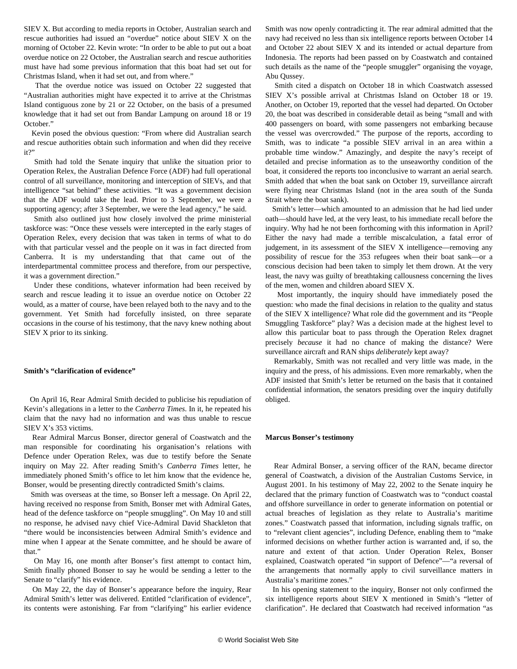SIEV X. But according to media reports in October, Australian search and rescue authorities had issued an "overdue" notice about SIEV X on the morning of October 22. Kevin wrote: "In order to be able to put out a boat overdue notice on 22 October, the Australian search and rescue authorities must have had some previous information that this boat had set out for Christmas Island, when it had set out, and from where."

 That the overdue notice was issued on October 22 suggested that "Australian authorities might have expected it to arrive at the Christmas Island contiguous zone by 21 or 22 October, on the basis of a presumed knowledge that it had set out from Bandar Lampung on around 18 or 19 October."

 Kevin posed the obvious question: "From where did Australian search and rescue authorities obtain such information and when did they receive  $i$ <sup>t</sup>?"

 Smith had told the Senate inquiry that unlike the situation prior to Operation Relex, the Australian Defence Force (ADF) had full operational control of all surveillance, monitoring and interception of SIEVs, and that intelligence "sat behind" these activities. "It was a government decision that the ADF would take the lead. Prior to 3 September, we were a supporting agency; after 3 September, we were the lead agency," he said.

 Smith also outlined just how closely involved the prime ministerial taskforce was: "Once these vessels were intercepted in the early stages of Operation Relex, every decision that was taken in terms of what to do with that particular vessel and the people on it was in fact directed from Canberra. It is my understanding that that came out of the interdepartmental committee process and therefore, from our perspective, it was a government direction."

 Under these conditions, whatever information had been received by search and rescue leading it to issue an overdue notice on October 22 would, as a matter of course, have been relayed both to the navy and to the government. Yet Smith had forcefully insisted, on three separate occasions in the course of his testimony, that the navy knew nothing about SIEV X prior to its sinking.

#### **Smith's "clarification of evidence"**

 On April 16, Rear Admiral Smith decided to publicise his repudiation of Kevin's allegations in a letter to the *Canberra Times*. In it, he repeated his claim that the navy had no information and was thus unable to rescue SIEV X's 353 victims.

 Rear Admiral Marcus Bonser, director general of Coastwatch and the man responsible for coordinating his organisation's relations with Defence under Operation Relex, was due to testify before the Senate inquiry on May 22. After reading Smith's *Canberra Times* letter, he immediately phoned Smith's office to let him know that the evidence he, Bonser, would be presenting directly contradicted Smith's claims.

 Smith was overseas at the time, so Bonser left a message. On April 22, having received no response from Smith, Bonser met with Admiral Gates, head of the defence taskforce on "people smuggling". On May 10 and still no response, he advised navy chief Vice-Admiral David Shackleton that "there would be inconsistencies between Admiral Smith's evidence and mine when I appear at the Senate committee, and he should be aware of that."

 On May 16, one month after Bonser's first attempt to contact him, Smith finally phoned Bonser to say he would be sending a letter to the Senate to "clarify" his evidence.

 On May 22, the day of Bonser's appearance before the inquiry, Rear Admiral Smith's letter was delivered. Entitled "clarification of evidence", its contents were astonishing. Far from "clarifying" his earlier evidence Smith was now openly contradicting it. The rear admiral admitted that the navy had received no less than six intelligence reports between October 14 and October 22 about SIEV X and its intended or actual departure from Indonesia. The reports had been passed on by Coastwatch and contained such details as the name of the "people smuggler" organising the voyage, Abu Qussey.

 Smith cited a dispatch on October 18 in which Coastwatch assessed SIEV X's possible arrival at Christmas Island on October 18 or 19. Another, on October 19, reported that the vessel had departed. On October 20, the boat was described in considerable detail as being "small and with 400 passengers on board, with some passengers not embarking because the vessel was overcrowded." The purpose of the reports, according to Smith, was to indicate "a possible SIEV arrival in an area within a probable time window." Amazingly, and despite the navy's receipt of detailed and precise information as to the unseaworthy condition of the boat, it considered the reports too inconclusive to warrant an aerial search. Smith added that when the boat sank on October 19, surveillance aircraft were flying near Christmas Island (not in the area south of the Sunda Strait where the boat sank).

 Smith's letter—which amounted to an admission that he had lied under oath—should have led, at the very least, to his immediate recall before the inquiry. Why had he not been forthcoming with this information in April? Either the navy had made a terrible miscalculation, a fatal error of judgement, in its assessment of the SIEV X intelligence—removing any possibility of rescue for the 353 refugees when their boat sank—or a conscious decision had been taken to simply let them drown. At the very least, the navy was guilty of breathtaking callousness concerning the lives of the men, women and children aboard SIEV X.

 Most importantly, the inquiry should have immediately posed the question: who made the final decisions in relation to the quality and status of the SIEV X intelligence? What role did the government and its "People Smuggling Taskforce" play? Was a decision made at the highest level to allow this particular boat to pass through the Operation Relex dragnet precisely *because* it had no chance of making the distance? Were surveillance aircraft and RAN ships *deliberately* kept away?

 Remarkably, Smith was not recalled and very little was made, in the inquiry and the press, of his admissions. Even more remarkably, when the ADF insisted that Smith's letter be returned on the basis that it contained confidential information, the senators presiding over the inquiry dutifully obliged.

#### **Marcus Bonser's testimony**

 Rear Admiral Bonser, a serving officer of the RAN, became director general of Coastwatch, a division of the Australian Customs Service, in August 2001. In his testimony of May 22, 2002 to the Senate inquiry he declared that the primary function of Coastwatch was to "conduct coastal and offshore surveillance in order to generate information on potential or actual breaches of legislation as they relate to Australia's maritime zones." Coastwatch passed that information, including signals traffic, on to "relevant client agencies", including Defence, enabling them to "make informed decisions on whether further action is warranted and, if so, the nature and extent of that action. Under Operation Relex, Bonser explained, Coastwatch operated "in support of Defence"—"a reversal of the arrangements that normally apply to civil surveillance matters in Australia's maritime zones."

 In his opening statement to the inquiry, Bonser not only confirmed the six intelligence reports about SIEV X mentioned in Smith's "letter of clarification". He declared that Coastwatch had received information "as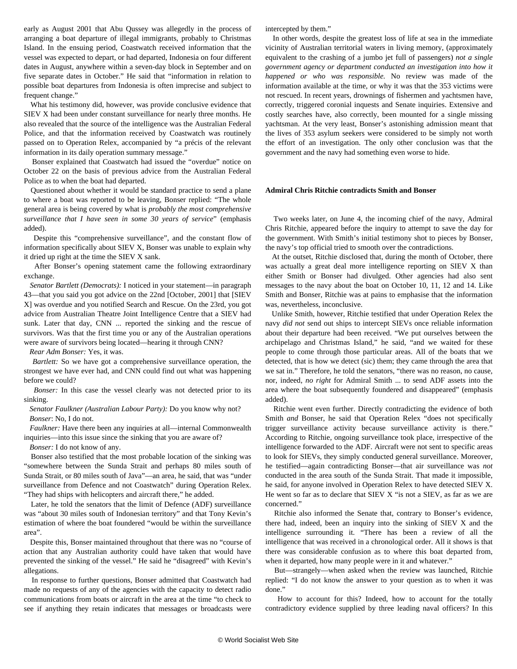early as August 2001 that Abu Qussey was allegedly in the process of arranging a boat departure of illegal immigrants, probably to Christmas Island. In the ensuing period, Coastwatch received information that the vessel was expected to depart, or had departed, Indonesia on four different dates in August, anywhere within a seven-day block in September and on five separate dates in October." He said that "information in relation to possible boat departures from Indonesia is often imprecise and subject to frequent change."

 What his testimony did, however, was provide conclusive evidence that SIEV X had been under constant surveillance for nearly three months. He also revealed that the source of the intelligence was the Australian Federal Police, and that the information received by Coastwatch was routinely passed on to Operation Relex, accompanied by "a précis of the relevant information in its daily operation summary message."

 Bonser explained that Coastwatch had issued the "overdue" notice on October 22 on the basis of previous advice from the Australian Federal Police as to when the boat had departed.

 Questioned about whether it would be standard practice to send a plane to where a boat was reported to be leaving, Bonser replied: "The whole general area is being covered by what is *probably the most comprehensive surveillance that I have seen in some 30 years of service*" (emphasis added).

 Despite this "comprehensive surveillance", and the constant flow of information specifically about SIEV X, Bonser was unable to explain why it dried up right at the time the SIEV X sank.

 After Bonser's opening statement came the following extraordinary exchange.

 *Senator Bartlett (Democrats):* I noticed in your statement—in paragraph 43—that you said you got advice on the 22nd [October, 2001] that [SIEV X] was overdue and you notified Search and Rescue. On the 23rd, you got advice from Australian Theatre Joint Intelligence Centre that a SIEV had sunk. Later that day, CNN ... reported the sinking and the rescue of survivors. Was that the first time you or any of the Australian operations were aware of survivors being located—hearing it through CNN?

*Rear Adm Bonser:* Yes, it was.

 *Bartlett:* So we have got a comprehensive surveillance operation, the strongest we have ever had, and CNN could find out what was happening before we could?

 *Bonser:* In this case the vessel clearly was not detected prior to its sinking.

 *Senator Faulkner (Australian Labour Party):* Do you know why not? *Bonser*: No, I do not.

 *Faulkner:* Have there been any inquiries at all—internal Commonwealth inquiries—into this issue since the sinking that you are aware of?

*Bonser:* I do not know of any.

 Bonser also testified that the most probable location of the sinking was "somewhere between the Sunda Strait and perhaps 80 miles south of Sunda Strait, or 80 miles south of Java"—an area, he said, that was "under surveillance from Defence and not Coastwatch" during Operation Relex. "They had ships with helicopters and aircraft there," he added.

 Later, he told the senators that the limit of Defence (ADF) surveillance was "about 30 miles south of Indonesian territory" and that Tony Kevin's estimation of where the boat foundered "would be within the surveillance area".

 Despite this, Bonser maintained throughout that there was no "course of action that any Australian authority could have taken that would have prevented the sinking of the vessel." He said he "disagreed" with Kevin's allegations.

 In response to further questions, Bonser admitted that Coastwatch had made no requests of any of the agencies with the capacity to detect radio communications from boats or aircraft in the area at the time "to check to see if anything they retain indicates that messages or broadcasts were intercepted by them."

 In other words, despite the greatest loss of life at sea in the immediate vicinity of Australian territorial waters in living memory, (approximately equivalent to the crashing of a jumbo jet full of passengers) *not a single government agency or department conducted an investigation into how it happened or who was responsible.* No review was made of the information available at the time, or why it was that the 353 victims were not rescued. In recent years, drownings of fishermen and yachtsmen have, correctly, triggered coronial inquests and Senate inquiries. Extensive and costly searches have, also correctly, been mounted for a single missing yachtsman. At the very least, Bonser's astonishing admission meant that the lives of 353 asylum seekers were considered to be simply not worth the effort of an investigation. The only other conclusion was that the government and the navy had something even worse to hide.

#### **Admiral Chris Ritchie contradicts Smith and Bonser**

 Two weeks later, on June 4, the incoming chief of the navy, Admiral Chris Ritchie, appeared before the inquiry to attempt to save the day for the government. With Smith's initial testimony shot to pieces by Bonser, the navy's top official tried to smooth over the contradictions.

 At the outset, Ritchie disclosed that, during the month of October, there was actually a great deal more intelligence reporting on SIEV X than either Smith or Bonser had divulged. Other agencies had also sent messages to the navy about the boat on October 10, 11, 12 and 14. Like Smith and Bonser, Ritchie was at pains to emphasise that the information was, nevertheless, inconclusive.

 Unlike Smith, however, Ritchie testified that under Operation Relex the navy *did not* send out ships to intercept SIEVs once reliable information about their departure had been received. "We put ourselves between the archipelago and Christmas Island," he said, "and we waited for these people to come through those particular areas. All of the boats that we detected, that is how we detect (sic) them; they came through the area that we sat in." Therefore, he told the senators, "there was no reason, no cause, nor, indeed, *no right* for Admiral Smith ... to send ADF assets into the area where the boat subsequently foundered and disappeared" (emphasis added).

 Ritchie went even further. Directly contradicting the evidence of both Smith *and* Bonser, he said that Operation Relex "does not specifically trigger surveillance activity because surveillance activity is there." According to Ritchie, ongoing surveillance took place, irrespective of the intelligence forwarded to the ADF. Aircraft were not sent to specific areas to look for SIEVs, they simply conducted general surveillance. Moreover, he testified—again contradicting Bonser—that air surveillance was *not* conducted in the area south of the Sunda Strait. That made it impossible, he said, for anyone involved in Operation Relex to have detected SIEV X. He went so far as to declare that SIEV X "is not a SIEV, as far as we are concerned."

 Ritchie also informed the Senate that, contrary to Bonser's evidence, there had, indeed, been an inquiry into the sinking of SIEV X and the intelligence surrounding it. "There has been a review of all the intelligence that was received in a chronological order. All it shows is that there was considerable confusion as to where this boat departed from, when it departed, how many people were in it and whatever."

 But—strangely—when asked when the review was launched, Ritchie replied: "I do not know the answer to your question as to when it was done."

 How to account for this? Indeed, how to account for the totally contradictory evidence supplied by three leading naval officers? In this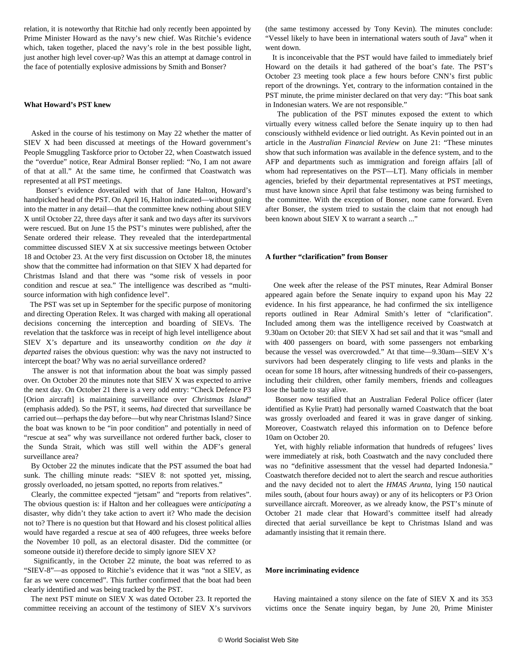relation, it is noteworthy that Ritchie had only recently been appointed by Prime Minister Howard as the navy's new chief. Was Ritchie's evidence which, taken together, placed the navy's role in the best possible light, just another high level cover-up? Was this an attempt at damage control in the face of potentially explosive admissions by Smith and Bonser?

#### **What Howard's PST knew**

 Asked in the course of his testimony on May 22 whether the matter of SIEV X had been discussed at meetings of the Howard government's People Smuggling Taskforce prior to October 22, when Coastwatch issued the "overdue" notice, Rear Admiral Bonser replied: "No, I am not aware of that at all." At the same time, he confirmed that Coastwatch was represented at all PST meetings.

 Bonser's evidence dovetailed with that of Jane Halton, Howard's handpicked head of the PST. On April 16, Halton indicated—without going into the matter in any detail—that the committee knew nothing about SIEV X until October 22, three days after it sank and two days after its survivors were rescued. But on June 15 the PST's minutes were published, after the Senate ordered their release. They revealed that the interdepartmental committee discussed SIEV X at six successive meetings between October 18 and October 23. At the very first discussion on October 18, the minutes show that the committee had information on that SIEV X had departed for Christmas Island and that there was "some risk of vessels in poor condition and rescue at sea." The intelligence was described as "multisource information with high confidence level".

 The PST was set up in September for the specific purpose of monitoring and directing Operation Relex. It was charged with making all operational decisions concerning the interception and boarding of SIEVs. The revelation that the taskforce was in receipt of high level intelligence about SIEV X's departure and its unseaworthy condition *on the day it departed* raises the obvious question: why was the navy not instructed to intercept the boat? Why was no aerial surveillance ordered?

 The answer is not that information about the boat was simply passed over. On October 20 the minutes note that SIEV X was expected to arrive the next day. On October 21 there is a very odd entry: "Check Defence P3 [Orion aircraft] is maintaining surveillance over *Christmas Island*" (emphasis added). So the PST, it seems, *had* directed that surveillance be carried out—perhaps the day before—but why near Christmas Island? Since the boat was known to be "in poor condition" and potentially in need of "rescue at sea" why was surveillance not ordered further back, closer to the Sunda Strait, which was still well within the ADF's general surveillance area?

 By October 22 the minutes indicate that the PST assumed the boat had sunk. The chilling minute reads: "SIEV 8: not spotted yet, missing, grossly overloaded, no jetsam spotted, no reports from relatives."

 Clearly, the committee expected "jetsam" and "reports from relatives". The obvious question is: if Halton and her colleagues were *anticipating* a disaster, why didn't they take action to avert it? Who made the decision not to? There is no question but that Howard and his closest political allies would have regarded a rescue at sea of 400 refugees, three weeks before the November 10 poll, as an electoral disaster. Did the committee (or someone outside it) therefore decide to simply ignore SIEV X?

 Significantly, in the October 22 minute, the boat was referred to as "SIEV-8"—as opposed to Ritchie's evidence that it was "not a SIEV, as far as we were concerned". This further confirmed that the boat had been clearly identified and was being tracked by the PST.

 The next PST minute on SIEV X was dated October 23. It reported the committee receiving an account of the testimony of SIEV X's survivors

(the same testimony accessed by Tony Kevin). The minutes conclude: "Vessel likely to have been in international waters south of Java" when it went down.

 It is inconceivable that the PST would have failed to immediately brief Howard on the details it had gathered of the boat's fate. The PST's October 23 meeting took place a few hours before CNN's first public report of the drownings. Yet, contrary to the information contained in the PST minute, the prime minister declared on that very day: "This boat sank in Indonesian waters. We are not responsible."

 The publication of the PST minutes exposed the extent to which virtually every witness called before the Senate inquiry up to then had consciously withheld evidence or lied outright. As Kevin pointed out in an article in the *Australian Financial Review* on June 21: "These minutes show that such information was available in the defence system, and to the AFP and departments such as immigration and foreign affairs [all of whom had representatives on the PST—LT]. Many officials in member agencies, briefed by their departmental representatives at PST meetings, must have known since April that false testimony was being furnished to the committee. With the exception of Bonser, none came forward. Even after Bonser, the system tried to sustain the claim that not enough had been known about SIEV X to warrant a search ..."

#### **A further "clarification" from Bonser**

 One week after the release of the PST minutes, Rear Admiral Bonser appeared again before the Senate inquiry to expand upon his May 22 evidence. In his first appearance, he had confirmed the six intelligence reports outlined in Rear Admiral Smith's letter of "clarification". Included among them was the intelligence received by Coastwatch at 9.30am on October 20: that SIEV X had set sail and that it was "small and with 400 passengers on board, with some passengers not embarking because the vessel was overcrowded." At that time—9.30am—SIEV X's survivors had been desperately clinging to life vests and planks in the ocean for some 18 hours, after witnessing hundreds of their co-passengers, including their children, other family members, friends and colleagues lose the battle to stay alive.

 Bonser now testified that an Australian Federal Police officer (later identified as Kylie Pratt) had personally warned Coastwatch that the boat was grossly overloaded and feared it was in grave danger of sinking. Moreover, Coastwatch relayed this information on to Defence before 10am on October 20.

 Yet, with highly reliable information that hundreds of refugees' lives were immediately at risk, both Coastwatch and the navy concluded there was no "definitive assessment that the vessel had departed Indonesia." Coastwatch therefore decided not to alert the search and rescue authorities and the navy decided not to alert the *HMAS Arunta*, lying 150 nautical miles south, (about four hours away) or any of its helicopters or P3 Orion surveillance aircraft. Moreover, as we already know, the PST's minute of October 21 made clear that Howard's committee itself had already directed that aerial surveillance be kept to Christmas Island and was adamantly insisting that it remain there.

#### **More incriminating evidence**

 Having maintained a stony silence on the fate of SIEV X and its 353 victims once the Senate inquiry began, by June 20, Prime Minister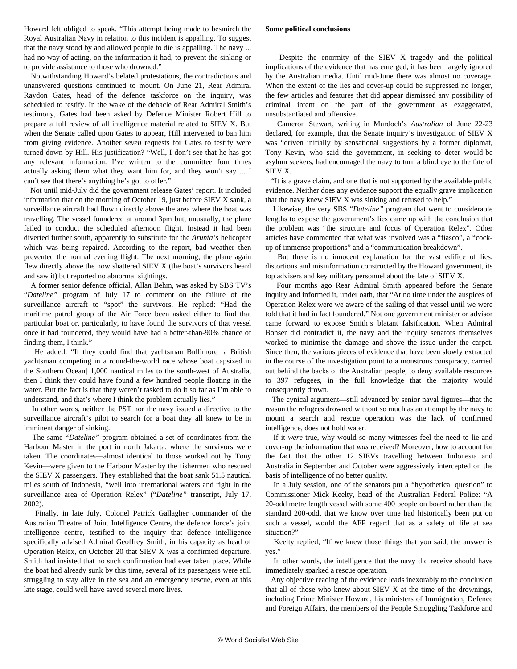Howard felt obliged to speak. "This attempt being made to besmirch the Royal Australian Navy in relation to this incident is appalling. To suggest that the navy stood by and allowed people to die is appalling. The navy ... had no way of acting, on the information it had, to prevent the sinking or to provide assistance to those who drowned."

 Notwithstanding Howard's belated protestations, the contradictions and unanswered questions continued to mount. On June 21, Rear Admiral Raydon Gates, head of the defence taskforce on the inquiry, was scheduled to testify. In the wake of the debacle of Rear Admiral Smith's testimony, Gates had been asked by Defence Minister Robert Hill to prepare a full review of all intelligence material related to SIEV X. But when the Senate called upon Gates to appear, Hill intervened to ban him from giving evidence. Another *seven* requests for Gates to testify were turned down by Hill. His justification? "Well, I don't see that he has got any relevant information. I've written to the committee four times actually asking them what they want him for, and they won't say ... I can't see that there's anything he's got to offer."

 Not until mid-July did the government release Gates' report. It included information that on the morning of October 19, just before SIEV X sank, a surveillance aircraft had flown directly above the area where the boat was travelling. The vessel foundered at around 3pm but, unusually, the plane failed to conduct the scheduled afternoon flight. Instead it had been diverted further south, apparently to substitute for the *Arunta's* helicopter which was being repaired. According to the report, bad weather then prevented the normal evening flight. The next morning, the plane again flew directly above the now shattered SIEV X (the boat's survivors heard and saw it) but reported no abnormal sightings.

 A former senior defence official, Allan Behm, was asked by SBS TV's "*Dateline"* program of July 17 to comment on the failure of the surveillance aircraft to "spot" the survivors. He replied: "Had the maritime patrol group of the Air Force been asked either to find that particular boat or, particularly, to have found the survivors of that vessel once it had foundered, they would have had a better-than-90% chance of finding them, I think."

 He added: "If they could find that yachtsman Bullimore [a British yachtsman competing in a round-the-world race whose boat capsized in the Southern Ocean] 1,000 nautical miles to the south-west of Australia, then I think they could have found a few hundred people floating in the water. But the fact is that they weren't tasked to do it so far as I'm able to understand, and that's where I think the problem actually lies."

 In other words, neither the PST nor the navy issued a directive to the surveillance aircraft's pilot to search for a boat they all knew to be in imminent danger of sinking.

 The same "*Dateline"* program obtained a set of coordinates from the Harbour Master in the port in north Jakarta, where the survivors were taken. The coordinates—almost identical to those worked out by Tony Kevin—were given to the Harbour Master by the fishermen who rescued the SIEV X passengers. They established that the boat sank 51.5 nautical miles south of Indonesia, "well into international waters and right in the surveillance area of Operation Relex" ("*Dateline"* transcript, July 17, 2002).

 Finally, in late July, Colonel Patrick Gallagher commander of the Australian Theatre of Joint Intelligence Centre, the defence force's joint intelligence centre, testified to the inquiry that defence intelligence specifically advised Admiral Geoffrey Smith, in his capacity as head of Operation Relex, on October 20 that SIEV X was a confirmed departure. Smith had insisted that no such confirmation had ever taken place. While the boat had already sunk by this time, several of its passengers were still struggling to stay alive in the sea and an emergency rescue, even at this late stage, could well have saved several more lives.

#### **Some political conclusions**

 Despite the enormity of the SIEV X tragedy and the political implications of the evidence that has emerged, it has been largely ignored by the Australian media. Until mid-June there was almost no coverage. When the extent of the lies and cover-up could be suppressed no longer, the few articles and features that did appear dismissed any possibility of criminal intent on the part of the government as exaggerated, unsubstantiated and offensive.

 Cameron Stewart, writing in Murdoch's *Australian* of June 22-23 declared, for example, that the Senate inquiry's investigation of SIEV X was "driven initially by sensational suggestions by a former diplomat, Tony Kevin, who said the government, in seeking to deter would-be asylum seekers, had encouraged the navy to turn a blind eye to the fate of SIEV X.

 "It is a grave claim, and one that is not supported by the available public evidence. Neither does any evidence support the equally grave implication that the navy knew SIEV X was sinking and refused to help."

 Likewise, the very SBS "*Dateline"* program that went to considerable lengths to expose the government's lies came up with the conclusion that the problem was "the structure and focus of Operation Relex". Other articles have commented that what was involved was a "fiasco", a "cockup of immense proportions" and a "communication breakdown".

 But there is no innocent explanation for the vast edifice of lies, distortions and misinformation constructed by the Howard government, its top advisers and key military personnel about the fate of SIEV X.

 Four months ago Rear Admiral Smith appeared before the Senate inquiry and informed it, under oath, that "At no time under the auspices of Operation Relex were we aware of the sailing of that vessel until we were told that it had in fact foundered." Not one government minister or advisor came forward to expose Smith's blatant falsification. When Admiral Bonser did contradict it, the navy and the inquiry senators themselves worked to minimise the damage and shove the issue under the carpet. Since then, the various pieces of evidence that have been slowly extracted in the course of the investigation point to a monstrous conspiracy, carried out behind the backs of the Australian people, to deny available resources to 397 refugees, in the full knowledge that the majority would consequently drown.

 The cynical argument—still advanced by senior naval figures—that the reason the refugees drowned without so much as an attempt by the navy to mount a search and rescue operation was the lack of confirmed intelligence, does not hold water.

 If it *were* true, why would so many witnesses feel the need to lie and cover-up the information that *was* received? Moreover, how to account for the fact that the other 12 SIEVs travelling between Indonesia and Australia in September and October were aggressively intercepted on the basis of intelligence of no better quality.

 In a July session, one of the senators put a "hypothetical question" to Commissioner Mick Keelty, head of the Australian Federal Police: "A 20-odd metre length vessel with some 400 people on board rather than the standard 200-odd, that we know over time had historically been put on such a vessel, would the AFP regard that as a safety of life at sea situation?"

 Keelty replied, "If we knew those things that you said, the answer is yes."

 In other words, the intelligence that the navy did receive should have immediately sparked a rescue operation.

 Any objective reading of the evidence leads inexorably to the conclusion that all of those who knew about SIEV X at the time of the drownings, including Prime Minister Howard, his ministers of Immigration, Defence and Foreign Affairs, the members of the People Smuggling Taskforce and